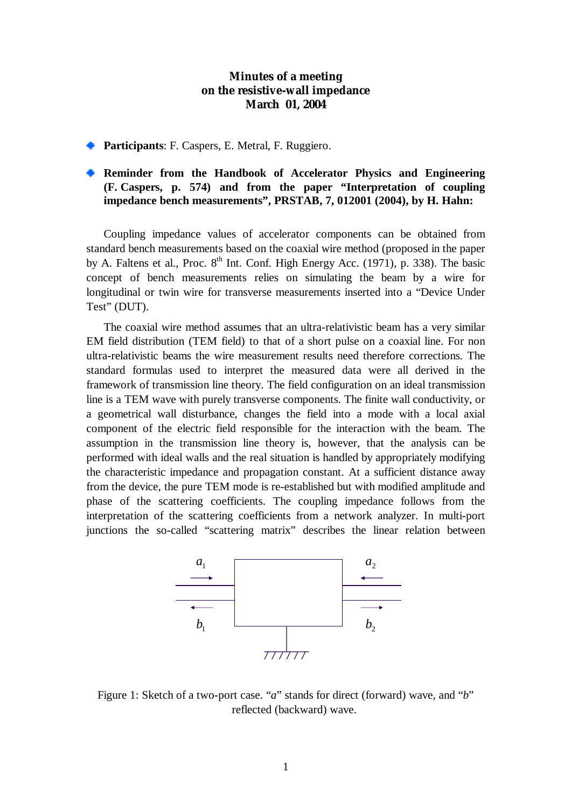## **Minutes of a meeting on the resistive-wall impedance March 01, 2004**

**Participants: F. Caspers, E. Metral, F. Ruggiero.** 

## **Reminder from the Handbook of Accelerator Physics and Engineering (F. Caspers, p. 574) and from the paper "Interpretation of coupling impedance bench measurements", PRSTAB, 7, 012001 (2004), by H. Hahn:**

Coupling impedance values of accelerator components can be obtained from standard bench measurements based on the coaxial wire method (proposed in the paper by A. Faltens et al., Proc.  $8<sup>th</sup>$  Int. Conf. High Energy Acc. (1971), p. 338). The basic concept of bench measurements relies on simulating the beam by a wire for longitudinal or twin wire for transverse measurements inserted into a "Device Under Test" (DUT).

The coaxial wire method assumes that an ultra-relativistic beam has a very similar EM field distribution (TEM field) to that of a short pulse on a coaxial line. For non ultra-relativistic beams the wire measurement results need therefore corrections. The standard formulas used to interpret the measured data were all derived in the framework of transmission line theory. The field configuration on an ideal transmission line is a TEM wave with purely transverse components. The finite wall conductivity, or a geometrical wall disturbance, changes the field into a mode with a local axial component of the electric field responsible for the interaction with the beam. The assumption in the transmission line theory is, however, that the analysis can be performed with ideal walls and the real situation is handled by appropriately modifying the characteristic impedance and propagation constant. At a sufficient distance away from the device, the pure TEM mode is re-established but with modified amplitude and phase of the scattering coefficients. The coupling impedance follows from the interpretation of the scattering coefficients from a network analyzer. In multi-port junctions the so-called "scattering matrix" describes the linear relation between



Figure 1: Sketch of a two-port case. "*a*" stands for direct (forward) wave, and "*b*" reflected (backward) wave.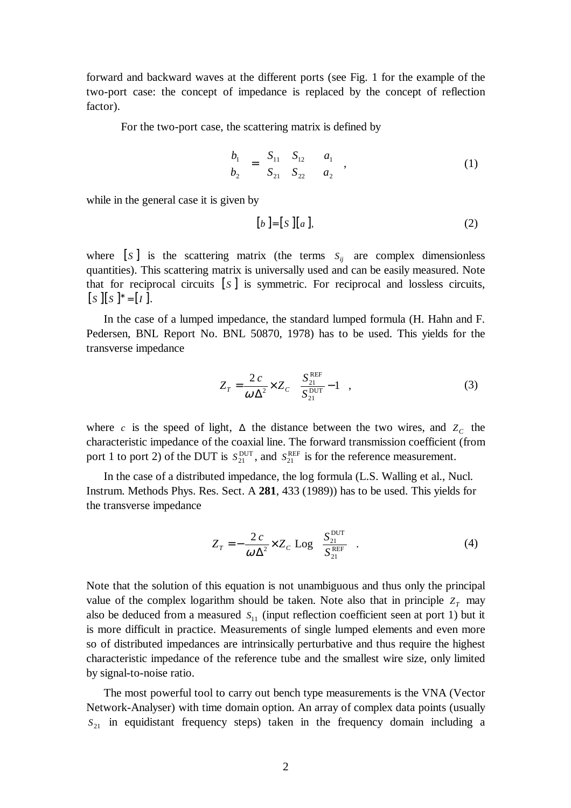forward and backward waves at the different ports (see Fig. 1 for the example of the two-port case: the concept of impedance is replaced by the concept of reflection factor).

For the two-port case, the scattering matrix is defined by

$$
\begin{pmatrix} b_1 \\ b_2 \end{pmatrix} = \begin{pmatrix} S_{11} & S_{12} \\ S_{21} & S_{22} \end{pmatrix} \begin{pmatrix} a_1 \\ a_2 \end{pmatrix},
$$
 (1)

while in the general case it is given by

$$
[b] = [S][a], \tag{2}
$$

where  $[s]$  is the scattering matrix (the terms  $S_{ij}$  are complex dimensionless quantities). This scattering matrix is universally used and can be easily measured. Note that for reciprocal circuits  $[s]$  is symmetric. For reciprocal and lossless circuits,  $[S \mid S]^* = [I].$ 

In the case of a lumped impedance, the standard lumped formula (H. Hahn and F. Pedersen, BNL Report No. BNL 50870, 1978) has to be used. This yields for the transverse impedance

$$
Z_T = \frac{2c}{\omega \Delta^2} \times Z_c \left( \frac{S_{21}^{\text{REF}}}{S_{21}^{\text{DUT}}} - 1 \right),
$$
 (3)

where *c* is the speed of light,  $\Delta$  the distance between the two wires, and  $Z_c$  the characteristic impedance of the coaxial line. The forward transmission coefficient (from port 1 to port 2) of the DUT is  $S_{21}^{\text{DUT}}$ , and  $S_{21}^{\text{REF}}$  is for the reference measurement.

In the case of a distributed impedance, the log formula (L.S. Walling et al., Nucl. Instrum. Methods Phys. Res. Sect. A **281**, 433 (1989)) has to be used. This yields for the transverse impedance

$$
Z_T = -\frac{2c}{\omega \Delta^2} \times Z_C \text{ Log}\left(\frac{S_{21}^{\text{DUT}}}{S_{21}^{\text{REF}}}\right).
$$
 (4)

Note that the solution of this equation is not unambiguous and thus only the principal value of the complex logarithm should be taken. Note also that in principle  $Z_T$  may also be deduced from a measured  $S_{11}$  (input reflection coefficient seen at port 1) but it is more difficult in practice. Measurements of single lumped elements and even more so of distributed impedances are intrinsically perturbative and thus require the highest characteristic impedance of the reference tube and the smallest wire size, only limited by signal-to-noise ratio.

The most powerful tool to carry out bench type measurements is the VNA (Vector Network-Analyser) with time domain option. An array of complex data points (usually  $S_{21}$  in equidistant frequency steps) taken in the frequency domain including a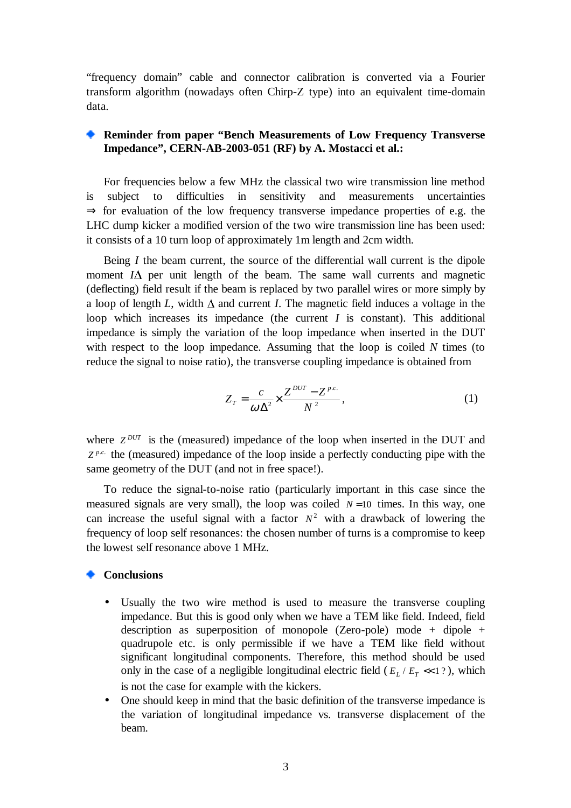"frequency domain" cable and connector calibration is converted via a Fourier transform algorithm (nowadays often Chirp-Z type) into an equivalent time-domain data.

## **Reminder from paper "Bench Measurements of Low Frequency Transverse Impedance", CERN-AB-2003-051 (RF) by A. Mostacci et al.:**

For frequencies below a few MHz the classical two wire transmission line method is subject to difficulties in sensitivity and measurements uncertainties  $\Rightarrow$  for evaluation of the low frequency transverse impedance properties of e.g. the LHC dump kicker a modified version of the two wire transmission line has been used: it consists of a 10 turn loop of approximately 1m length and 2cm width.

Being *I* the beam current, the source of the differential wall current is the dipole moment  $I\Delta$  per unit length of the beam. The same wall currents and magnetic (deflecting) field result if the beam is replaced by two parallel wires or more simply by a loop of length *L*, width  $\Delta$  and current *I*. The magnetic field induces a voltage in the loop which increases its impedance (the current *I* is constant). This additional impedance is simply the variation of the loop impedance when inserted in the DUT with respect to the loop impedance. Assuming that the loop is coiled *N* times (to reduce the signal to noise ratio), the transverse coupling impedance is obtained from

$$
Z_T = \frac{c}{\omega \Delta^2} \times \frac{Z^{DUT} - Z^{p.c.}}{N^2},\tag{1}
$$

where  $Z^{DUT}$  is the (measured) impedance of the loop when inserted in the DUT and  $Z^{p.c.}$  the (measured) impedance of the loop inside a perfectly conducting pipe with the same geometry of the DUT (and not in free space!).

To reduce the signal-to-noise ratio (particularly important in this case since the measured signals are very small), the loop was coiled  $N=10$  times. In this way, one can increase the useful signal with a factor  $N^2$  with a drawback of lowering the frequency of loop self resonances: the chosen number of turns is a compromise to keep the lowest self resonance above 1 MHz.

## **Conclusions**

- Usually the two wire method is used to measure the transverse coupling impedance. But this is good only when we have a TEM like field. Indeed, field description as superposition of monopole (Zero-pole) mode + dipole + quadrupole etc. is only permissible if we have a TEM like field without significant longitudinal components. Therefore, this method should be used only in the case of a negligible longitudinal electric field ( $E_L / E_T \ll 1$ ?), which is not the case for example with the kickers.
- One should keep in mind that the basic definition of the transverse impedance is the variation of longitudinal impedance vs. transverse displacement of the beam.